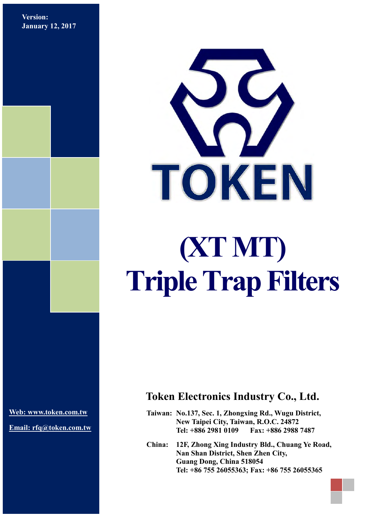**Version: January 12, 2017**



**[Web: www.token.com.tw](http://www.token.com.tw/)**

**Email: rfq@token.com.tw**

#### **Token Electronics Industry Co., Ltd.**

**Taiwan: No.137, Sec. 1, Zhongxing Rd., Wugu District, New Taipei City, Taiwan, R.O.C. 24872 Tel: +886 2981 0109 Fax: +886 2988 7487**

**China: 12F, Zhong Xing Industry Bld., Chuang Ye Road, Nan Shan District, Shen Zhen City, Guang Dong, China 518054 Tel: +86 755 26055363; Fax: +86 755 26055365**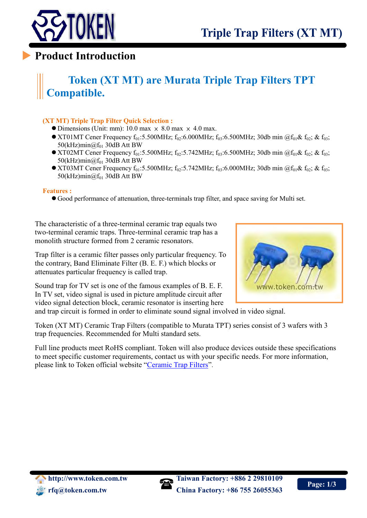

## **Product Introduction**

# **Token (XT MT) are Murata Triple Trap Filters TPT Compatible.**

#### **(XT MT) Triple Trap Filter Quick Selection :**

- $\bullet$  Dimensions (Unit: mm): 10.0 max  $\times$  8.0 max  $\times$  4.0 max.
- XT01MT Cener Frequency  $f_{01}$ :5.500MHz;  $f_{02}$ :6.000MHz;  $f_{03}$ :6.500MHz; 30db min @ $f_{01}$ &  $f_{02}$ ; &  $f_{03}$ ;  $50$ (kHz)min $@f_{01}$  30dB Att BW
- XT02MT Cener Frequency  $f_{01}$ :5.500MHz;  $f_{02}$ :5.742MHz;  $f_{03}$ :6.500MHz; 30db min @ $f_{01}$ &  $f_{02}$ ; &  $f_{03}$ ;  $50$ (kHz)min $@f_{01}$  30dB Att BW
- XT03MT Cener Frequency  $f_{01}$ :5.500MHz;  $f_{02}$ :5.742MHz;  $f_{03}$ :6.000MHz; 30db min @ $f_{01}$ &  $f_{02}$ ; &  $f_{03}$ ; 50(kHz)min $@f_{01}$  30dB Att BW

#### **Features :**

Good performance of attenuation, three-terminals trap filter, and space saving for Multi set.

The characteristic of a three-terminal ceramic trap equals two two-terminal ceramic traps. Three-terminal ceramic trap has a monolith structure formed from 2 ceramic resonators.

Trap filter is a ceramic filter passes only particular frequency. To the contrary, Band Eliminate Filter (B. E. F.) which blocks or attenuates particular frequency is called trap.

Sound trap for TV set is one of the famous examples of B. E. F. In TV set, video signal is used in picture amplitude circuit after video signal detection block, ceramic resonator is inserting here

and trap circuit is formed in order to eliminate sound signal involved in video signal.

Token (XT MT) Ceramic Trap Filters (compatible to Murata TPT) series consist of 3 wafers with 3 trap frequencies. Recommended for Multi standard sets.

Full line products meet RoHS compliant. Token will also produce devices outside these specifications to meet specific customer requirements, contact us with your specific needs. For more information, please link to Token official website "[Ceramic Trap Filters](http://www.token.com.tw/ceramic-trap/index.html)".



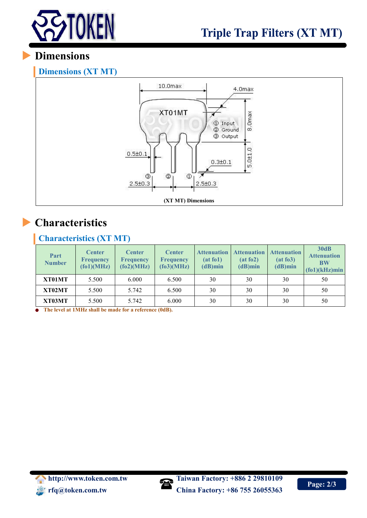

## **Dimensions**

#### **Dimensions (XT MT)**



# **Characteristics**

#### **Characteristics (XT MT)**

| Part<br><b>Number</b> | <b>Center</b><br><b>Frequency</b><br>f(61)(MHz) | <b>Center</b><br><b>Frequency</b><br>f(62)(MHz) | <b>Center</b><br><b>Frequency</b><br>(fo3)(MHz) | <b>Attenuation</b><br>(at f <sub>0</sub> 1)<br>$(d)$ min | <b>Attenuation</b><br>(at f <sub>0</sub> 2)<br>$(d)$ min | <b>Attenuation</b><br>(at f <sub>0</sub> 3)<br>$(d)$ min | 30dB<br><b>Attenuation</b><br><b>BW</b><br>$f(61)(kHz)$ min |
|-----------------------|-------------------------------------------------|-------------------------------------------------|-------------------------------------------------|----------------------------------------------------------|----------------------------------------------------------|----------------------------------------------------------|-------------------------------------------------------------|
| XT01MT                | 5.500                                           | 6.000                                           | 6.500                                           | 30                                                       | 30                                                       | 30                                                       | 50                                                          |
| XT02MT                | 5.500                                           | 5.742                                           | 6.500                                           | 30                                                       | 30                                                       | 30                                                       | 50                                                          |
| XT03MT                | 5.500                                           | 5.742                                           | 6.000                                           | 30                                                       | 30                                                       | 30                                                       | 50                                                          |

**The level at 1MHz shall be made for a reference (0dB).**